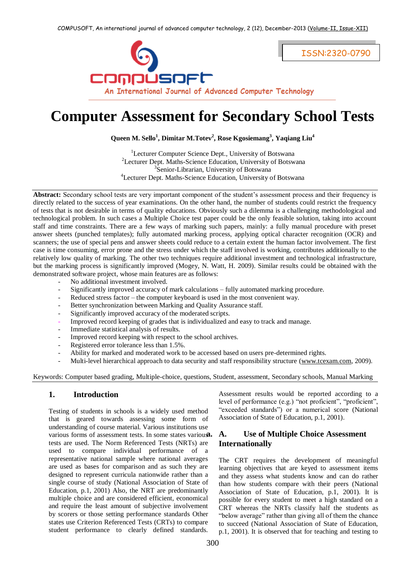

# **Computer Assessment for Secondary School Tests**

**Queen M. Sello<sup>1</sup> , Dimitar M.Totev<sup>2</sup> , Rose Kgosiemang<sup>3</sup> , Yaqiang Liu<sup>4</sup>**

<sup>1</sup>Lecturer Computer Science Dept., University of Botswana <sup>2</sup>Lecturer Dept. Maths-Science Education, University of Botswana <sup>3</sup>Senior-Librarian, University of Botswana 4 Lecturer Dept. Maths-Science Education, University of Botswana

**Abstract:** Secondary school tests are very important component of the student's assessment process and their frequency is directly related to the success of year examinations. On the other hand, the number of students could restrict the frequency of tests that is not desirable in terms of quality educations. Obviously such a dilemma is a challenging methodological and technological problem. In such cases a Multiple Choice test paper could be the only feasible solution, taking into account staff and time constraints. There are a few ways of marking such papers, mainly: a fully manual procedure with preset answer sheets (punched templates); fully automated marking process, applying optical character recognition (OCR) and scanners; the use of special pens and answer sheets could reduce to a certain extent the human factor involvement. The first case is time consuming, error prone and the stress under which the staff involved is working, contributes additionally to the relatively low quality of marking. The other two techniques require additional investment and technological infrastructure, but the marking process is significantly improved (Mogey, N. Watt, H. 2009). Similar results could be obtained with the demonstrated software project, whose main features are as follows:

- No additional investment involved.
- Significantly improved accuracy of mark calculations fully automated marking procedure.
- Reduced stress factor the computer keyboard is used in the most convenient way.
- Better synchronization between Marking and Quality Assurance staff.
- Significantly improved accuracy of the moderated scripts.
- Improved record keeping of grades that is individualized and easy to track and manage.
- Immediate statistical analysis of results.
- Improved record keeping with respect to the school archives.
- Registered error tolerance less than 1.5%.
- Ability for marked and moderated work to be accessed based on users pre-determined rights.
- Multi-level hierarchical approach to data security and staff responsibility structure [\(www.tcexam.com,](http://www.tcexam.com/) 2009).

Keywords: Computer based grading, Multiple-choice, questions, Student, assessment, Secondary schools, Manual Marking

#### **1. Introduction**

Testing of students in schools is a widely used method that is geared towards assessing some form of understanding of course material. Various institutions use various forms of assessment tests. In some states variousa. tests are used. The Norm Referenced Tests (NRTs) are used to compare individual performance of a representative national sample where national averages are used as bases for comparison and as such they are designed to represent curricula nationwide rather than a single course of study (National Association of State of Education, p.1, 2001) Also, the NRT are predominantly multiple choice and are considered efficient, economical and require the least amount of subjective involvement by scorers or those setting performance standards Other states use Criterion Referenced Tests (CRTs) to compare student performance to clearly defined standards.

Assessment results would be reported according to a level of performance (e.g.) "not proficient", "proficient", "exceeded standards") or a numerical score (National Association of State of Education, p.1, 2001).

## **a. A. Use of Multiple Choice Assessment Internationally**

The CRT requires the development of meaningful learning objectives that are keyed to assessment items and they assess what students know and can do rather than how students compare with their peers (National Association of State of Education, p.1, 2001). It is possible for every student to meet a high standard on a CRT whereas the NRTs classify half the students as "below average" rather than giving all of them the chance to succeed (National Association of State of Education, p.1, 2001). It is observed that for teaching and testing to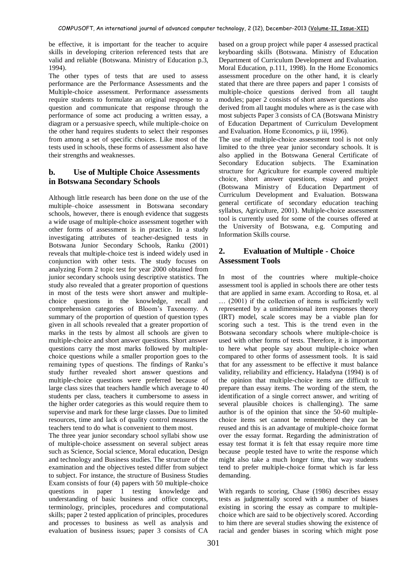be effective, it is important for the teacher to acquire skills in developing criterion referenced tests that are valid and reliable (Botswana. Ministry of Education p.3, 1994).

The other types of tests that are used to assess performance are the Performance Assessments and the Multiple-choice assessment. Performance assessments require students to formulate an original response to a question and communicate that response through the performance of some act producing a written essay, a diagram or a persuasive speech, while multiple-choice on the other hand requires students to select their responses from among a set of specific choices. Like most of the tests used in schools, these forms of assessment also have their strengths and weaknesses.

# **b. Use of Multiple Choice Assessments in Botswana Secondary Schools**

Although little research has been done on the use of the multiple–choice assessment in Botswana secondary schools, however, there is enough evidence that suggests a wide usage of multiple-choice assessment together with other forms of assessment is in practice. In a study investigating attributes of teacher-designed tests in Botswana Junior Secondary Schools, Ranku (2001) reveals that multiple-choice test is indeed widely used in conjunction with other tests. The study focuses on analyzing Form 2 topic test for year 2000 obtained from junior secondary schools using descriptive statistics. The study also revealed that a greater proportion of questions in most of the tests were short answer and multiplechoice questions in the knowledge, recall and comprehension categories of Bloom's Taxonomy. A summary of the proportion of question of question types given in all schools revealed that a greater proportion of marks in the tests by almost all schools are given to multiple-choice and short answer questions. Short answer questions carry the most marks followed by multiplechoice questions while a smaller proportion goes to the remaining types of questions. The findings of Ranku's study further revealed short answer questions and multiple-choice questions were preferred because of large class sizes that teachers handle which average to 40 students per class, teachers it cumbersome to assess in the higher order categories as this would require them to supervise and mark for these large classes. Due to limited resources, time and lack of quality control measures the teachers tend to do what is convenient to them most.

The three year junior secondary school syllabi show use of multiple-choice assessment on several subject areas such as Science, Social science, Moral education, Design and technology and Business studies. The structure of the examination and the objectives tested differ from subject to subject. For instance, the structure of Business Studies Exam consists of four (4) papers with 50 multiple-choice questions in paper 1 testing knowledge and understanding of basic business and office concepts, terminology, principles, procedures and computational skills; paper 2 tested application of principles, procedures and processes to business as well as analysis and evaluation of business issues; paper 3 consists of CA based on a group project while paper 4 assessed practical keyboarding skills (Botswana. Ministry of Education Department of Curriculum Development and Evaluation. Moral Education, p.111, 1998). In the Home Economics assessment procedure on the other hand, it is clearly stated that there are three papers and paper 1 consists of multiple-choice questions derived from all taught modules; paper 2 consists of short answer questions also derived from all taught modules where as is the case with most subjects Paper 3 consists of CA (Botswana Ministry of Education Department of Curriculum Development and Evaluation. Home Economics, p iii, 1996).

The use of multiple-choice assessment tool is not only limited to the three year junior secondary schools. It is also applied in the Botswana General Certificate of Secondary Education subjects. The Examination structure for Agriculture for example covered multiple choice, short answer questions, essay and project (Botswana Ministry of Education Department of Curriculum Development and Evaluation. Botswana general certificate of secondary education teaching syllabus, Agriculture, 2001). Multiple-choice assessment tool is currently used for some of the courses offered at the University of Botswana, e.g. Computing and Information Skills course.

## **2. Evaluation of Multiple - Choice Assessment Tools**

In most of the countries where multiple-choice assessment tool is applied in schools there are other tests that are applied in same exam. According to Rosa, et. al … (2001) if the collection of items is sufficiently well represented by a unidimensional item responses theory (IRT) model, scale scores may be a viable plan for scoring such a test. This is the trend even in the Botswana secondary schools where multiple-choice is used with other forms of tests. Therefore, it is important to here what people say about multiple-choice when compared to other forms of assessment tools. It is said that for any assessment to be effective it must balance validity, reliability and efficiency**.** Haladyna (1994) is of the opinion that multiple-choice items are difficult to prepare than essay items. The wording of the stem, the identification of a single correct answer, and writing of several plausible choices is challenging). The same author is of the opinion that since the 50-60 multiplechoice items set cannot be remembered they can be reused and this is an advantage of multiple-choice format over the essay format. Regarding the administration of essay test format it is felt that essay require more time because people tested have to write the response which might also take a much longer time, that way students tend to prefer multiple-choice format which is far less demanding.

With regards to scoring, Chase (1986) describes essay tests as judgmentally scored with a number of biases existing in scoring the essay as compare to multiplechoice which are said to be objectively scored. According to him there are several studies showing the existence of racial and gender biases in scoring which might pose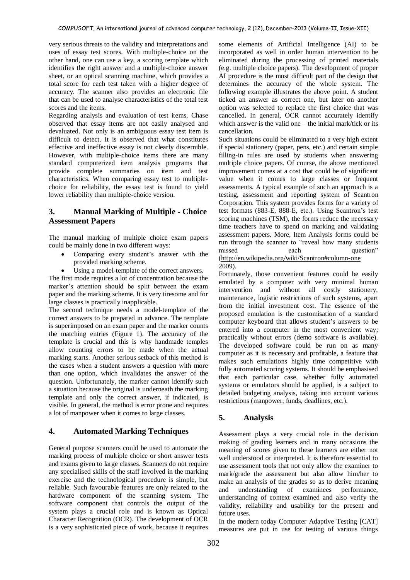very serious threats to the validity and interpretations and uses of essay test scores. With multiple-choice on the other hand, one can use a key, a scoring template which identifies the right answer and a multiple-choice answer sheet, or an optical scanning machine, which provides a total score for each test taken with a higher degree of accuracy. The scanner also provides an electronic file that can be used to analyse characteristics of the total test scores and the items.

Regarding analysis and evaluation of test items, Chase observed that essay items are not easily analysed and devaluated. Not only is an ambiguous essay test item is difficult to detect. It is observed that what constitutes effective and ineffective essay is not clearly discernible. However, with multiple-choice items there are many standard computerized item analysis programs that provide complete summaries on item and test characteristics. When comparing essay test to multiplechoice for reliability, the essay test is found to yield lower reliability than multiple-choice version.

## **3. Manual Marking of Multiple - Choice Assessment Papers**

The manual marking of multiple choice exam papers could be mainly done in two different ways:

- Comparing every student's answer with the provided marking scheme.
- Using a model-template of the correct answers.

The first mode requires a lot of concentration because the marker's attention should be split between the exam paper and the marking scheme. It is very tiresome and for large classes is practically inapplicable.

The second technique needs a model-template of the correct answers to be prepared in advance. The template is superimposed on an exam paper and the marker counts the matching entries (Figure 1). The accuracy of the template is crucial and this is why handmade temples allow counting errors to be made when the actual marking starts. Another serious setback of this method is the cases when a student answers a question with more than one option, which invalidates the answer of the question. Unfortunately, the marker cannot identify such a situation because the original is underneath the marking template and only the correct answer, if indicated, is visible. In general, the method is error prone and requires a lot of manpower when it comes to large classes.

## **4. Automated Marking Techniques**

General purpose scanners could be used to automate the marking process of multiple choice or short answer tests and exams given to large classes. Scanners do not require any specialised skills of the staff involved in the marking exercise and the technological procedure is simple, but reliable. Such favourable features are only related to the hardware component of the scanning system. The software component that controls the output of the system plays a crucial role and is known as Optical Character Recognition (OCR). The development of OCR is a very sophisticated piece of work, because it requires

some elements of Artificial Intelligence (AI) to be incorporated as well in order human intervention to be eliminated during the processing of printed materials (e.g. multiple choice papers). The development of proper AI procedure is the most difficult part of the design that determines the accuracy of the whole system. The following example illustrates the above point. A student ticked an answer as correct one, but later on another option was selected to replace the first choice that was cancelled. In general, OCR cannot accurately identify which answer is the valid one – the initial mark/tick or its cancellation.

Such situations could be eliminated to a very high extent if special stationery (paper, pens, etc.) and certain simple filling-in rules are used by students when answering multiple choice papers. Of course, the above mentioned improvement comes at a cost that could be of significant value when it comes to large classes or frequent assessments. A typical example of such an approach is a testing, assessment and reporting system of Scantron Corporation. This system provides forms for a variety of test formats (883-E, 888-E, etc.). Using Scantron's test scoring machines (TSM), the forms reduce the necessary time teachers have to spend on marking and validating assessment papers. More, Item Analysis forms could be run through the scanner to "reveal how many students missed each question" [\(http://en.wikipedia.org/wiki/Scantron#column-one](http://en.wikipedia.org/wiki/Scantron#column-one)

2009).

Fortunately, those convenient features could be easily emulated by a computer with very minimal human intervention and without all costly stationery, maintenance, logistic restrictions of such systems, apart from the initial investment cost. The essence of the proposed emulation is the customisation of a standard computer keyboard that allows student's answers to be entered into a computer in the most convenient way; practically without errors (demo software is available). The developed software could be run on as many computer as it is necessary and profitable, a feature that makes such emulations highly time competitive with fully automated scoring systems. It should be emphasised that each particular case, whether fully automated systems or emulators should be applied, is a subject to detailed budgeting analysis, taking into account various restrictions (manpower, funds, deadlines, etc.).

## **5. Analysis**

Assessment plays a very crucial role in the decision making of grading learners and in many occasions the meaning of scores given to these learners are either not well understood or interpreted. It is therefore essential to use assessment tools that not only allow the examiner to mark/grade the assessment but also allow him/her to make an analysis of the grades so as to derive meaning and understanding of examinees performance, understanding of context examined and also verify the validity, reliability and usability for the present and future uses.

In the modern today Computer Adaptive Testing [CAT] measures are put in use for testing of various things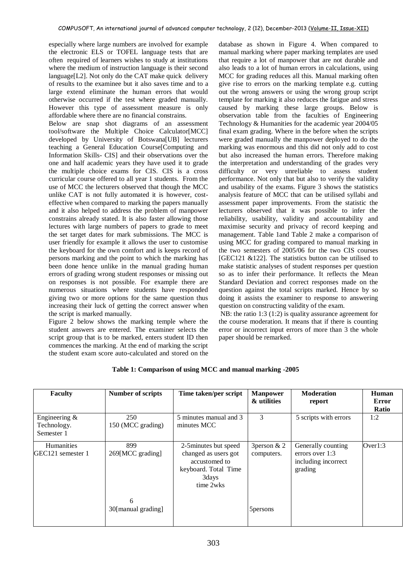especially where large numbers are involved for example the electronic ELS or TOFEL language tests that are often required of learners wishes to study at institutions where the medium of instruction language is their second language[L2]. Not only do the CAT make quick delivery of results to the examinee but it also saves time and to a large extend eliminate the human errors that would otherwise occurred if the test where graded manually. However this type of assessment measure is only affordable where there are no financial constrains.

Below are snap shot diagrams of an assessment tool/software the Multiple Choice Calculator[MCC] developed by University of Botswana[UB] lecturers teaching a General Education Course[Computing and Information Skills- CIS] and their observations over the one and half academic years they have used it to grade the multiple choice exams for CIS. CIS is a cross curricular course offered to all year 1 students. From the use of MCC the lecturers observed that though the MCC unlike CAT is not fully automated it is however, costeffective when compared to marking the papers manually and it also helped to address the problem of manpower constrains already stated. It is also faster allowing those lectures with large numbers of papers to grade to meet the set target dates for mark submissions. The MCC is user friendly for example it allows the user to customise the keyboard for the own comfort and is keeps record of persons marking and the point to which the marking has been done hence unlike in the manual grading human errors of grading wrong student responses or missing out on responses is not possible. For example there are numerous situations where students have responded giving two or more options for the same question thus increasing their luck of getting the correct answer when the script is marked manually.

Figure 2 below shows the marking temple where the student answers are entered. The examiner selects the script group that is to be marked, enters student ID then commences the marking. At the end of marking the script the student exam score auto-calculated and stored on the database as shown in Figure 4. When compared to manual marking where paper marking templates are used that require a lot of manpower that are not durable and also leads to a lot of human errors in calculations, using MCC for grading reduces all this. Manual marking often give rise to errors on the marking template e.g. cutting out the wrong answers or using the wrong group script template for marking it also reduces the fatigue and stress caused by marking these large groups. Below is observation table from the faculties of Engineering Technology & Humanities for the academic year 2004/05 final exam grading. Where in the before when the scripts were graded manually the manpower deployed to do the marking was enormous and this did not only add to cost but also increased the human errors. Therefore making the interpretation and understanding of the grades very difficulty or very unreliable to assess student performance. Not only that but also to verify the validity and usability of the exams. Figure 3 shows the statistics analysis feature of MCC that can be utilised syllabi and assessment paper improvements. From the statistic the lecturers observed that it was possible to infer the reliability, usability, validity and accountability and maximise security and privacy of record keeping and management. Table 1and Table 2 make a comparison of using MCC for grading compared to manual marking in the two semesters of 2005/06 for the two CIS courses [GEC121 &122]. The statistics button can be utilised to make statistic analyses of student responses per question so as to infer their performance. It reflects the Mean Standard Deviation and correct responses made on the question against the total scripts marked. Hence by so doing it assists the examiner to response to answering question on constructing validity of the exam.

NB: the ratio 1:3 (1:2) is quality assurance agreement for the course moderation. It means that if there is counting error or incorrect input errors of more than 3 the whole paper should be remarked.

| <b>Faculty</b>                                | <b>Number of scripts</b> | Time taken/per script                                                                                        | <b>Manpower</b><br>& utilities | <b>Moderation</b><br>report                                             | Human<br>Error<br>Ratio |
|-----------------------------------------------|--------------------------|--------------------------------------------------------------------------------------------------------------|--------------------------------|-------------------------------------------------------------------------|-------------------------|
| Engineering $\&$<br>Technology.<br>Semester 1 | 250<br>150 (MCC grading) | 5 minutes manual and 3<br>minutes MCC                                                                        | 3                              | 5 scripts with errors                                                   | 1:2                     |
| Humanities<br>GEC121 semester 1               | 899<br>269[MCC grading]  | 2-5 minutes but speed<br>changed as users got<br>accustomed to<br>keyboard. Total Time<br>3days<br>time 2wks | 3 person $& 2$<br>computers.   | Generally counting<br>errors over 1:3<br>including incorrect<br>grading | Over1:3                 |
|                                               | 6<br>30[manual grading]  |                                                                                                              | 5 persons                      |                                                                         |                         |

#### **Table 1: Comparison of using MCC and manual marking -2005**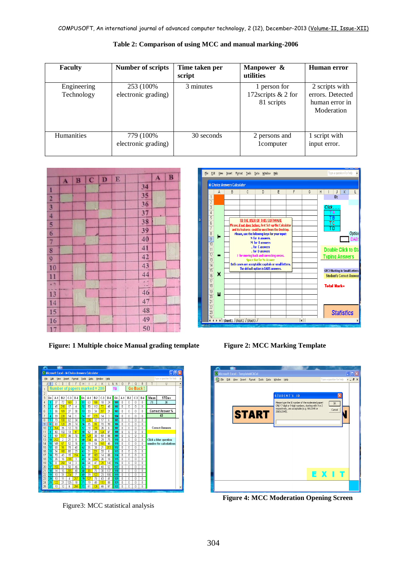| <b>Faculty</b>            | <b>Number of scripts</b>           | Time taken per<br>script | Manpower &<br>utilities                          | Human error                                                        |
|---------------------------|------------------------------------|--------------------------|--------------------------------------------------|--------------------------------------------------------------------|
| Engineering<br>Technology | 253 (100\%)<br>electronic grading) | 3 minutes                | 1 person for<br>172scripts & 2 for<br>81 scripts | 2 scripts with<br>errors. Detected<br>human error in<br>Moderation |
| <b>Humanities</b>         | 779 (100%)<br>electronic grading)  | 30 seconds               | 2 persons and<br>1 computer                      | 1 script with<br>input error.                                      |

**Table 2: Comparison of using MCC and manual marking-2006**



**Figure: 1 Multiple choice Manual grading template Figure 2: MCC Marking Template**

|    | ″                                               |                 |                          | п               |                          |                                               |          |                       |          |                  |           |            |                 |                         |                |                |                        |                          |   |
|----|-------------------------------------------------|-----------------|--------------------------|-----------------|--------------------------|-----------------------------------------------|----------|-----------------------|----------|------------------|-----------|------------|-----------------|-------------------------|----------------|----------------|------------------------|--------------------------|---|
|    |                                                 |                 |                          |                 |                          | Microsoft Excel - M-Choice Answers Calculator |          |                       |          |                  |           |            |                 |                         |                |                |                        |                          |   |
|    | File                                            | Edit            | View                     |                 | Insert                   | Format                                        | Tools    | Data                  |          | Window           | Help      |            |                 |                         |                |                |                        | Type a question for help |   |
|    | A                                               | B               | Ċ.                       | D               | E                        | F                                             | G<br>H   |                       | J        | K                | L         | N N        | $\ddot{\rm{o}}$ | P                       | a              | Is<br>R        |                        | $\mathbf{U}$             | Â |
|    | Number of papers marked = 280<br>Go Back!<br>тв |                 |                          |                 |                          |                                               |          |                       |          |                  |           |            |                 |                         |                |                |                        |                          |   |
|    | $\overline{2}$                                  |                 |                          |                 |                          |                                               |          |                       |          |                  |           |            |                 |                         |                |                |                        |                          |   |
|    | 3                                               | O#.             | $A-1$                    | B.2             | C <sub>3</sub>           | $D-4$                                         | 0#       | $A-1$                 | B.2      | C.3              | $D-4$     | 0#.        | A-1             | B.2                     | C <sub>3</sub> | 0.4            | Mean                   | STDev                    |   |
|    | 4                                               | 1               | 37                       | 72              | 169                      | 3                                             | 51       | 53                    | 188      | 18               | 24        | 101        | n               | $\overline{\mathsf{n}}$ | n              | n              | 71                     | 38                       |   |
|    | 5                                               | $\overline{c}$  | 45                       | 216             | 17                       | 4                                             | 52       | 50                    | 112      | 72               | 48        | 102        | Λ               | n                       | n              | n              |                        |                          |   |
| Ac | คิ                                              | 3               | 36                       | 189             | $\overline{\mathcal{U}}$ | 3Ĥ                                            | 53       | $\mathfrak n$         | 34       | 207              | 21        | 103        | Ō.              | n                       | n              | $\mathbf{0}$   |                        | Correct Answer %         |   |
|    | $\overline{7}$                                  | 4               | 39                       | 228             | 14                       | 1                                             | 54       | 87                    | 179      | 14               | 3         | 104        | n               | n                       | n              | n              |                        | 43                       |   |
|    | 8                                               | 5               | 79                       | 108             | 62                       | 34                                            | 55       | 226                   | 32       | 17               | 6         | 105        | n               | n                       | n              | 0              |                        |                          |   |
|    | 9                                               | 6               | 60                       | 120             | 28                       | 74                                            | 56       | 35                    | 86       | 70               | 90        | 106        | $\mathbf{0}$    | 0                       | O              | 0              |                        |                          |   |
|    | 10                                              | 7               | 164                      | 35              | 12                       | 70                                            | 57       | 19                    | 230      | 26               | 6         | 107        | 0               | $\mathbf{0}$            | $\theta$       | 0              | <b>Correct Answers</b> |                          |   |
|    | 11                                              | 8               | 80                       | 132             | 13                       | 57                                            | 58       | 52                    | 38       | 124              | 67        | 108        | $\overline{0}$  | $\mathbf{0}$            | $\mathbf{0}$   | $\overline{0}$ |                        |                          |   |
|    | 12                                              | 9               | 59                       | 117             | 36                       | 70                                            | 59       | 129                   | m        | 59               | 65        | 109        | O               | $\mathbf{0}$            | Ō              | $\Omega$       |                        |                          |   |
|    | 13                                              | 10              | 252                      | $\overline{2}$  | $\overline{21}$          | 8                                             | 60       | 134                   | 44       | 29               | 75        | 110        | $\overline{0}$  | n                       | O              | O.             |                        | Click a blue question    |   |
|    | 14                                              | 11              | 149                      | 67              | 52<br>78                 | 16                                            | 61       | 19<br>$\overline{26}$ | 54       | 165              | 46        | 111        | n<br>n          | Λ                       | n              | $\Omega$       |                        | number for calculations  |   |
|    | 15<br>16                                        | 12<br>13        | m<br>34                  | 96<br>160       | 65                       | 40<br>23                                      | 62<br>63 | $\overline{21}$       | m<br>221 | 21<br>33         | 203<br>ĥ  | 112<br>113 | n               | Λ<br>n                  | n<br>n         | $\Omega$<br>n  |                        |                          |   |
|    | 17                                              | 14              | 70                       | 43              | 15                       | 154                                           | 64       | $\overline{37}$       | 163      | 14               | <b>RR</b> | 114        | n               | n                       | n              | n              |                        |                          |   |
|    | 18                                              | 15              | $\overline{\mathcal{R}}$ | 16              | 238                      | 3                                             | 65       | 34                    | 204      | $\overline{\pi}$ | 16        | 115        | n               | n                       | n              | n              |                        |                          |   |
|    | 19                                              | 16              | 8                        | 258             | 14                       | 3                                             | 66       | 64                    | 47       | 29               | 140       | 116        | n               | Λ                       | n              | n              |                        |                          |   |
|    | $\alpha$                                        | 17              | 155                      | $\overline{31}$ | 50                       | 46                                            | 67       | $\overline{31}$       | 157      | 40               | 52        | 117        | n               | n                       | n              | 0              |                        |                          |   |
|    | 21                                              | 18              | 14                       | 15              | 205                      | 48                                            | 68       | 38                    | 75       | 30               | 137       | 118        | n               | n                       | n              | n              |                        |                          |   |
|    | 22                                              | 19              | 10                       | 31              | 234                      | 7                                             | 69       | 29                    | 122      | 23               | 106       | 119        | n               | 0                       | n              | 0              |                        |                          |   |
|    | 23                                              | 20              | 10                       | 11              | 4                        | 257                                           | 70       | 127                   | 70       | 43               | 41        | 120        | $\mathbf{0}$    | 0                       | O              | $\overline{0}$ |                        |                          |   |
|    | 24                                              | 21              | 122                      | 21              | 125                      | 18                                            | 71       | 19                    | 40       | 133              | 88        | 121        | $\mathbf{0}$    | 0                       | O              | 0              |                        |                          |   |
|    | 25                                              | $\overline{22}$ | 10                       | 12              | 6                        | 255                                           | 72       | 51                    | 126      | 46               | 57        | 122        | n               | $\mathbf{0}$            | O              | 0              |                        |                          |   |

Figure3: MCC statistical analysis

File Edit View Insert Format Iools Data Window Help voe a question for he M-Choice Answers Calculator  $J K$  $\overline{\mathbb{D}}$ A  $E$  $\overline{G}$  $\overline{H}$  $\top$  $\overline{B}$  $\overline{ID}$  $\begin{array}{c|c}\n1 & 2 \\
\hline\n2 & 3 \\
\hline\n4 & 5 \\
\hline\n6 & 7\n\end{array}$ TO THE USER OF THIS SOFTWARE<br>
IT TO THE USER OF THIS SOFTWARE<br>
is find done before, first set-up the Calculat<br>
Its feature could be used from the Desktop<br>
IN for 8 answers.<br>
M for 8 answers<br>
M for 0 answers<br>
for 0 conswers Please, <u>if not done before</u><br>
and its features could be<br>
Please, we the following<br>
Please, we the following<br>
Please, we the following<br>
More<br>
Note that the default option<br>
Space Bar (To 12)<br>
The default option<br>
Space Bar ( ΤĪ Optio Г Ξ Double Click to St **Typing Answers** na errors cases are acceptable: capitals or small let<br>The default option is DABS answers. GEC2 Marking in Small Letters **Student's Correct Answe Total Mark= Statistics**  $\frac{1}{\|\cdot\|}$ 

|    |  |  | Microsoft Excel - TemplateMCACal |  |                                                         |              |                                                                                                            |      |                          |  | $\blacksquare$ $\Box$ $\times$ |
|----|--|--|----------------------------------|--|---------------------------------------------------------|--------------|------------------------------------------------------------------------------------------------------------|------|--------------------------|--|--------------------------------|
|    |  |  |                                  |  | [8] File Edit View Insert Format Tools Data Window Help |              |                                                                                                            |      | Type a question for help |  | $   \times$                    |
|    |  |  |                                  |  |                                                         |              |                                                                                                            |      |                          |  |                                |
|    |  |  |                                  |  |                                                         |              |                                                                                                            |      |                          |  |                                |
|    |  |  |                                  |  |                                                         | STUDENT'S ID |                                                                                                            |      |                          |  |                                |
|    |  |  |                                  |  |                                                         |              | Please type the ID number of the moderated paper!<br>ONLY 7-digit or 9-digit numbers, starting with 9 or 2 |      | 0K                       |  |                                |
|    |  |  |                                  |  | 200312345).                                             |              | respectively, are acceptable (e.g. 9812345 or                                                              |      | Cancel                   |  |                                |
| Ad |  |  | <b>START</b>                     |  |                                                         |              |                                                                                                            |      |                          |  |                                |
|    |  |  |                                  |  |                                                         |              |                                                                                                            |      |                          |  |                                |
|    |  |  |                                  |  |                                                         |              |                                                                                                            |      |                          |  |                                |
|    |  |  |                                  |  |                                                         |              |                                                                                                            |      |                          |  |                                |
|    |  |  |                                  |  |                                                         |              |                                                                                                            |      |                          |  |                                |
|    |  |  |                                  |  |                                                         |              |                                                                                                            |      |                          |  |                                |
|    |  |  |                                  |  |                                                         |              |                                                                                                            |      |                          |  |                                |
|    |  |  |                                  |  |                                                         |              |                                                                                                            |      |                          |  |                                |
|    |  |  |                                  |  |                                                         |              |                                                                                                            |      |                          |  |                                |
|    |  |  |                                  |  |                                                         |              |                                                                                                            |      |                          |  |                                |
|    |  |  |                                  |  |                                                         |              |                                                                                                            | EXIT |                          |  |                                |
|    |  |  |                                  |  |                                                         |              |                                                                                                            |      |                          |  |                                |
|    |  |  |                                  |  |                                                         |              |                                                                                                            |      |                          |  |                                |
|    |  |  |                                  |  |                                                         |              |                                                                                                            |      |                          |  |                                |

**Figure 4: MCC Moderation Opening Screen**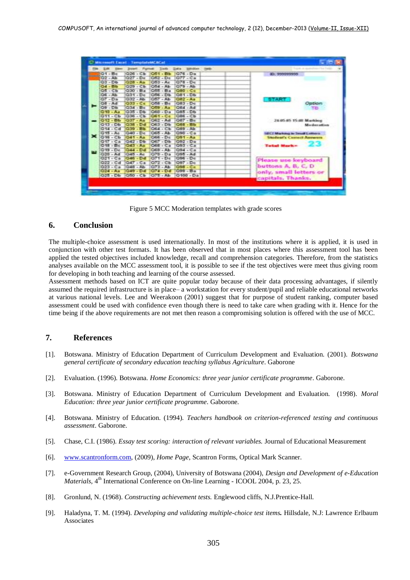

Figure 5 MCC Moderation templates with grade scores

## **6. Conclusion**

The multiple-choice assessment is used internationally. In most of the institutions where it is applied, it is used in conjunction with other test formats. It has been observed that in most places where this assessment tool has been applied the tested objectives included knowledge, recall and comprehension categories. Therefore, from the statistics analyses available on the MCC assessment tool, it is possible to see if the test objectives were meet thus giving room for developing in both teaching and learning of the course assessed.

Assessment methods based on ICT are quite popular today because of their data processing advantages, if silently assumed the required infrastructure is in place– a workstation for every student/pupil and reliable educational networks at various national levels. Lee and Weerakoon (2001) suggest that for purpose of student ranking, computer based assessment could be used with confidence even though there is need to take care when grading with it. Hence for the time being if the above requirements are not met then reason a compromising solution is offered with the use of MCC.

## **7. References**

- [1]. Botswana. Ministry of Education Department of Curriculum Development and Evaluation. (2001). *Botswana general certificate of secondary education teaching syllabus Agriculture*. Gaborone
- [2]. Evaluation. (1996). Botswana. *Home Economics: three year junior certificate programme*. Gaborone.
- [3]. Botswana. Ministry of Education Department of Curriculum Development and Evaluation. (1998). *Moral Education: three year junior certificate programme*. Gaborone.
- [4]. Botswana. Ministry of Education. (1994)*. Teachers handbook on criterion-referenced testing and continuous assessment*. Gaborone.
- [5]. Chase, C.I. (1986). *Essay test scoring: interaction of relevant variables.* Journal of Educational Measurement
- [6]. [www.scantronform.com,](http://www.scantronform.com/) (2009), *Home Page*, Scantron Forms, Optical Mark Scanner.
- [7]. e-Government Research Group, (2004), University of Botswana (2004), *Design and Development of e-Education Materials*,  $4<sup>th</sup>$  International Conference on On-line Learning - ICOOL 2004, p. 23, 25.
- [8]. Gronlund, N. (1968). *Constructing achievement tests.* Englewood cliffs, N.J.Prentice-Hall.
- [9]. Haladyna, T. M. (1994). *Developing and validating multiple-choice test items.* Hillsdale, N.J: Lawrence Erlbaum Associates